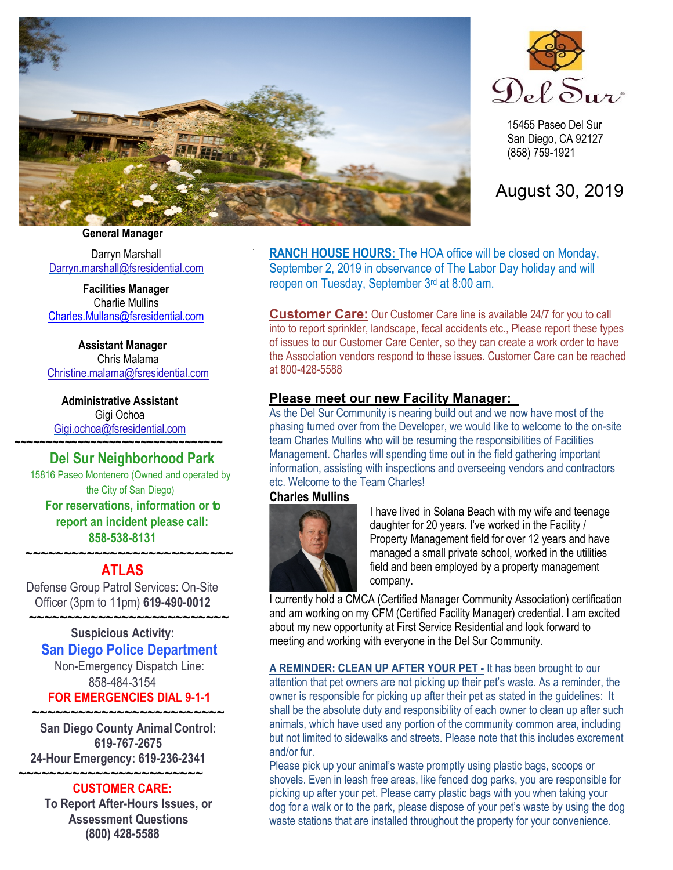

.



15455 Paseo Del Sur San Diego, CA 92127 (858) 759-1921

# August 30, 2019

**General Manager**

Darryn Marshall [Darryn.marshall@fsresidential.com](mailto:Darryn.marshall@fsresidential.com)

**Facilities Manager** Charlie Mullins [Charles.Mullans@fsresidential.com](mailto:Charles.Mullans@fsresidential.com)

**Assistant Manager** Chris Malama [Christine.malama@fsresidential.com](mailto:Christine.malama@fsresidential.com)

**Administrative Assistant**  Gigi Ochoa [Gigi.ochoa@fsresidential.com](mailto:Gigi.ochoa@fsresidential.com) **~~~~~~~~~~~~~~~~~~~~~~~~~~~~~~~~~**

# **Del Sur Neighborhood Park**

15816 Paseo Montenero (Owned and operated by the City of San Diego) **For reservations, information or to report an incident please call: 858-538-8131**

### **~~~~~~~~~~~~~~~~~~~~~~~~~~~ ATLAS**

Defense Group Patrol Services: On-Site Officer (3pm to 11pm) **619-490-0012**

 **~~~~~~~~~~~~~~~~~~~~~~~~~~ Suspicious Activity: San Diego Police Department** Non-Emergency Dispatch Line: 858-484-3154 **FOR EMERGENCIES DIAL 9-1-1**

**~~~~~~~~~~~~~~~~~~~~~~~~~ San Diego County Animal Control: 619-767-2675 24-Hour Emergency: 619-236-2341**

### **~~~~~~~~~~~~~~~~~~~~~~~~ CUSTOMER CARE:**

**To Report After-Hours Issues, or Assessment Questions (800) 428-5588**

**RANCH HOUSE HOURS:** The HOA office will be closed on Monday, September 2, 2019 in observance of The Labor Day holiday and will reopen on Tuesday, September 3rd at 8:00 am.

**Customer Care:** Our Customer Care line is available 24/7 for you to call into to report sprinkler, landscape, fecal accidents etc., Please report these types of issues to our Customer Care Center, so they can create a work order to have the Association vendors respond to these issues. Customer Care can be reached at 800-428-5588

## **Please meet our new Facility Manager:**

As the Del Sur Community is nearing build out and we now have most of the phasing turned over from the Developer, we would like to welcome to the on-site team Charles Mullins who will be resuming the responsibilities of Facilities Management. Charles will spending time out in the field gathering important information, assisting with inspections and overseeing vendors and contractors etc. Welcome to the Team Charles!

### **Charles Mullins**



I have lived in Solana Beach with my wife and teenage daughter for 20 years. I've worked in the Facility / Property Management field for over 12 years and have managed a small private school, worked in the utilities field and been employed by a property management company.

I currently hold a CMCA (Certified Manager Community Association) certification and am working on my CFM (Certified Facility Manager) credential. I am excited about my new opportunity at First Service Residential and look forward to meeting and working with everyone in the Del Sur Community.

**A REMINDER: CLEAN UP AFTER YOUR PET -** It has been brought to our attention that pet owners are not picking up their pet's waste. As a reminder, the owner is responsible for picking up after their pet as stated in the guidelines: It shall be the absolute duty and responsibility of each owner to clean up after such animals, which have used any portion of the community common area, including but not limited to sidewalks and streets. Please note that this includes excrement and/or fur.

Please pick up your animal's waste promptly using plastic bags, scoops or shovels. Even in leash free areas, like fenced dog parks, you are responsible for picking up after your pet. Please carry plastic bags with you when taking your dog for a walk or to the park, please dispose of your pet's waste by using the dog waste stations that are installed throughout the property for your convenience.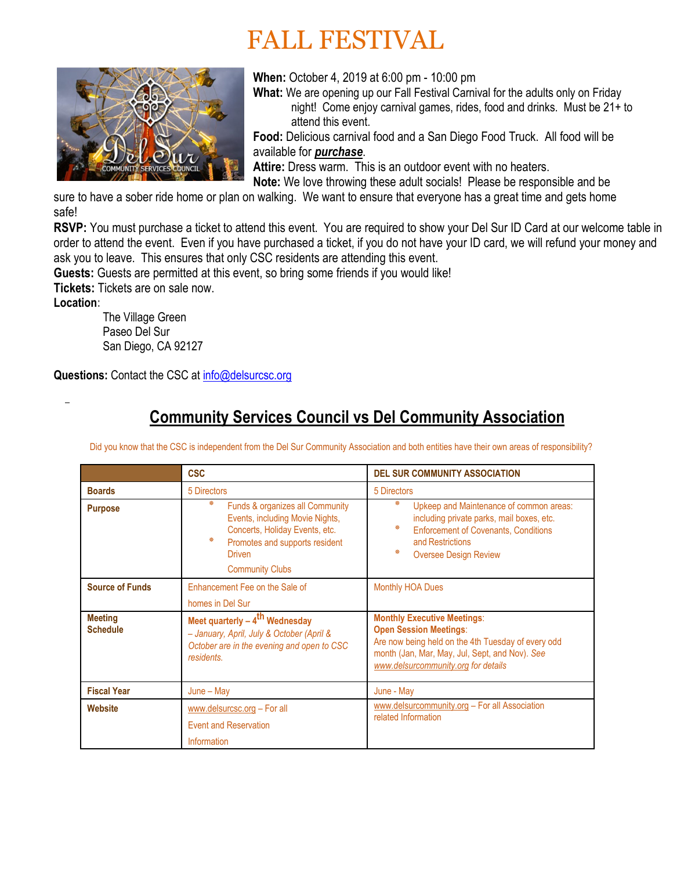# FALL FESTIVAL



**When:** October 4, 2019 at 6:00 pm - 10:00 pm

 **What:** We are opening up our Fall Festival Carnival for the adults only on Friday night! Come enjoy carnival games, rides, food and drinks. Must be 21+ to attend this event.

**Food:** Delicious carnival food and a San Diego Food Truck. All food will be available for *purchase*.

**Attire:** Dress warm. This is an outdoor event with no heaters.

**Note:** We love throwing these adult socials! Please be responsible and be

sure to have a sober ride home or plan on walking. We want to ensure that everyone has a great time and gets home safe!

**RSVP:** You must purchase a ticket to attend this event. You are required to show your Del Sur ID Card at our welcome table in order to attend the event. Even if you have purchased a ticket, if you do not have your ID card, we will refund your money and ask you to leave. This ensures that only CSC residents are attending this event.

**Guests:** Guests are permitted at this event, so bring some friends if you would like! **Tickets:** Tickets are on sale now.

**Location:** 

 The Village Green Paseo Del Sur San Diego, CA 92127

**Questions:** Contact the CSC a[t info@delsurcsc.org](mailto:info@delsurcsc.org)

# **Community Services Council vs Del Community Association**

Did you know that the CSC is independent from the Del Sur Community Association and both entities have their own areas of responsibility?

|                                   | <b>CSC</b>                                                                                                                                                                           | <b>DEL SUR COMMUNITY ASSOCIATION</b>                                                                                                                                                                               |
|-----------------------------------|--------------------------------------------------------------------------------------------------------------------------------------------------------------------------------------|--------------------------------------------------------------------------------------------------------------------------------------------------------------------------------------------------------------------|
| <b>Boards</b>                     | 5 Directors                                                                                                                                                                          | 5 Directors                                                                                                                                                                                                        |
| <b>Purpose</b>                    | ∗<br>Funds & organizes all Community<br>Events, including Movie Nights,<br>Concerts, Holiday Events, etc.<br>崇<br>Promotes and supports resident<br>Driven<br><b>Community Clubs</b> | *<br>Upkeep and Maintenance of common areas:<br>including private parks, mail boxes, etc.<br>米<br><b>Enforcement of Covenants, Conditions</b><br>and Restrictions<br>米<br><b>Oversee Design Review</b>             |
| <b>Source of Funds</b>            | Enhancement Fee on the Sale of<br>homes in Del Sur                                                                                                                                   | <b>Monthly HOA Dues</b>                                                                                                                                                                                            |
| <b>Meeting</b><br><b>Schedule</b> | Meet quarterly $-4$ <sup>th</sup> Wednesday<br>- January, April, July & October (April &<br>October are in the evening and open to CSC<br>residents.                                 | <b>Monthly Executive Meetings:</b><br><b>Open Session Meetings:</b><br>Are now being held on the 4th Tuesday of every odd<br>month (Jan, Mar, May, Jul, Sept, and Nov). See<br>www.delsurcommunity.org for details |
| <b>Fiscal Year</b>                | $June - May$                                                                                                                                                                         | June - May                                                                                                                                                                                                         |
| <b>Website</b>                    | www.delsurcsc.org - For all<br><b>Event and Reservation</b><br>Information                                                                                                           | www.delsurcommunity.org - For all Association<br>related Information                                                                                                                                               |